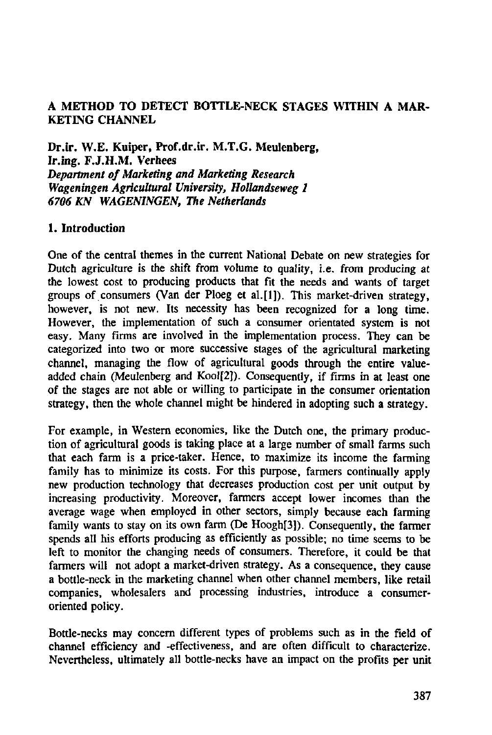## **A METHOD TO DETECT BOTTLE-NECK STAGES WITHIN A MAR-KETING CHANNEL**

**Dr.ir. W.E. Kuiper, Prof.dr.ir. M.T.G. Meulenberg, Ir.ing. F.J.H.M. Verhees**  *Department of Marketing and Marketing Research Wageningen Agricultural University, Hollandseweg 1 6706 KN WAGENINGEN, The Netherlands* 

### **1. Introduction**

One of the central themes in the current National Debate on new strategies for Dutch agriculture is the shift from volume to quality, i.e. from producing at the lowest cost to producing products that fit the needs and wants of target groups of consumers (Van der Ploeg et al.[l]). This market-driven strategy, however, is not new. Its necessity has been recognized for a long time. However, the implementation of such a consumer orientated system is not easy. Many firms are involved in the implementation process. They can be categorized into two or more successive stages of the agricultural marketing channel, managing the flow of agricultural goods through the entire valueadded chain (Meulenberg and Kool[2]). Consequently, if firms in at least one of the stages are not able or willing to participate in the consumer orientation strategy, then the whole channel might be hindered in adopting such a strategy.

For example, in Western economies, like the Dutch one, the primary production of agricultural goods is taking place at a large number of small farms such that each farm is a price-taker. Hence, to maximize its income the farming family has to minimize its costs. For this purpose, farmers continually apply new production technology that decreases production cost per unit output by increasing productivity. Moreover, farmers accept lower incomes than the average wage when employed in other sectors, simply because each farming family wants to stay on its own farm (De Hoogh[3]). Consequently, the farmer spends all his efforts producing as efficiently as possible; no time seems to be left to monitor the changing needs of consumers. Therefore, it could be that farmers will not adopt a market-driven strategy. As a consequence, they cause a bottle-neck in the marketing channel when other channel members, like retail companies, wholesalers and processing industries, introduce a consumeroriented policy.

Bottle-necks may concern different types of problems such as in the field of channel efficiency and -effectiveness, and are often difficult to characterize. Nevertheless, ultimately all bottle-necks have an impact on the profits per unit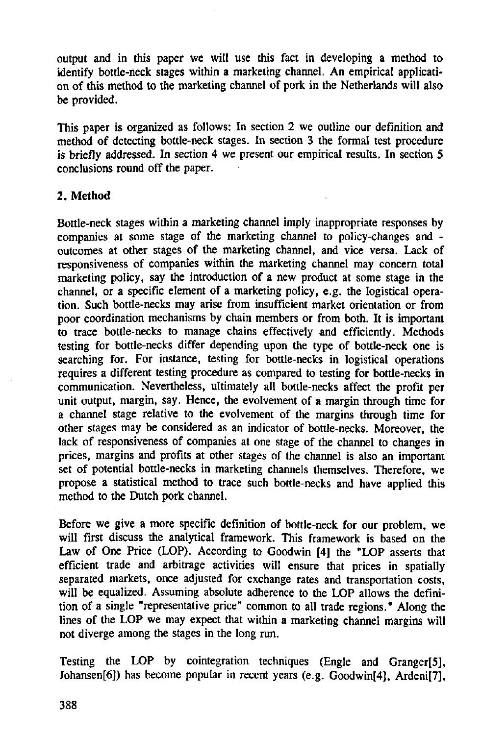output and in this paper we will use this fact in developing a method to identify bottle-neck stages within a marketing channel. An empirical application of this method to the marketing channel of pork in the Netherlands will also be provided.

This paper is organized as follows: In section 2 we outline our definition and method of detecting bottle-neck stages. In section 3 the formal test procedure is briefly addressed. In section 4 we present our empirical results. In section 5 conclusions round off the paper.

#### 2. Method

Bottle-neck stages within a marketing channel imply inappropriate responses by companies at some stage of the marketing channel to policy-changes and outcomes at other stages of the marketing channel, and vice versa. Lack of responsiveness of companies within the marketing channel may concern total marketing policy, say the introduction of a new product at some stage in the channel, or a specific element of a marketing policy, e.g. the logistical operation. Such bottle-necks may arise from insufficient market orientation or from poor coordination mechanisms by chain members or from both. It is important to trace bottle-necks to manage chains effectively and efficiently. Methods testing for bottle-necks differ depending upon the type of bottle-neck one is searching for. For instance, testing for bottle-necks in logistical operations requires a different testing procedure as compared to testing for bottle-necks in communication. Nevertheless, ultimately all bottle-necks affect the profit per unit output, margin, say. Hence, the evolvement of a margin through time for a channel stage relative to the evolvement of the margins through time for other stages may be considered as an indicator of bottle-necks. Moreover, the lack of responsiveness of companies at one stage of the channel to changes in prices, margins and profits at other stages of the channel is also an important set of potential bottle-necks in marketing channels themselves. Therefore, we propose a statistical method to trace such bottle-necks and have applied this method to the Dutch pork channel.

Before we give a more specific definition of bottle-neck for our problem, we will first discuss the analytical framework. This framework is based on the Law of One Price (LOP). According to Goodwin [4] the "LOP asserts that efficient trade and arbitrage activities will ensure that prices in spatially separated markets, once adjusted for exchange rates and transportation costs, will be equalized. Assuming absolute adherence to the LOP allows the definition of a single "representative price" common to all trade regions." Along the lines of the LOP we may expect that within a marketing channel margins will not diverge among the stages in the long run.

Testing the LOP by cointegration techniques (Engle and Granger[5], Johansen[6]) has become popular in recent years (e.g. Goodwin[4], Ardeni[7],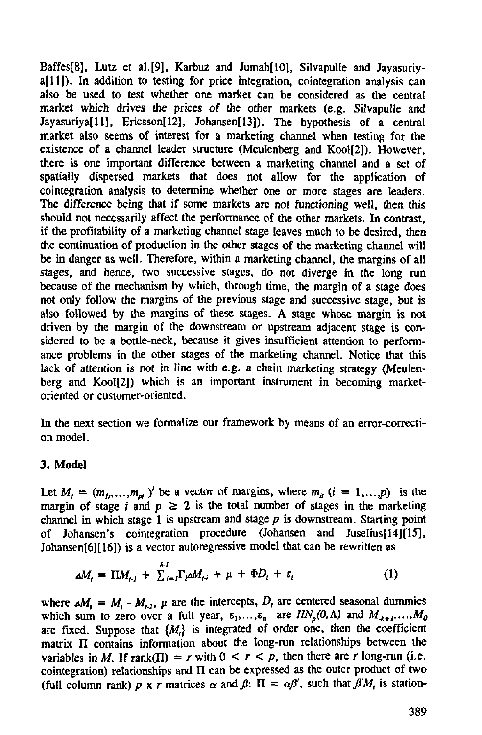Baffes[8], Lutz et al.[9], Karbuz and Jumah[10], Silvapulle and Jayasuriya[ll]). In addition to testing for price integration, cointegration analysis can also be used to test whether one market can be considered as the central market which drives the prices of the other markets (e.g. Silvapulle and Javasuriya[11], Ericsson[12], Johansen[13]). The hypothesis of a central market also seems of interest for a marketing channel when testing for the existence of a channel leader structure (Meulenberg and Kool[2]). However, there is one important difference between a marketing channel and a set of spatially dispersed markets that does not allow for the application of cointegration analysis to determine whether one or more stages are leaders. The difference being that if some markets are not functioning well, then this should not necessarily affect the performance of the other markets. In contrast, if the profitability of a marketing channel stage leaves much to be desired, then the continuation of production in the other stages of the marketing channel will be in danger as well. Therefore, within a marketing channel, the margins of all stages, and hence, two successive stages, do not diverge in the long run because of the mechanism by which, through time, the margin of a stage does not only follow the margins of the previous stage and successive stage, but is also followed by the margins of these stages. A stage whose margin is not driven by the margin of the downstream or upstream adjacent stage is considered to be a bottle-neck, because it gives insufficient attention to performance problems in the other stages of the marketing channel. Notice that this lack of attention is not in line with e.g. a chain marketing strategy (Meulenberg and Kool[2]) which is an important instrument in becoming marketoriented or customer-oriented.

In the next section we formalize our framework by means of an error-correction model.

### 3. Model

Let  $M_i = (m_{1i},...,m_{ni})'$  be a vector of margins, where  $m_{ii}$   $(i = 1,...,p)$  is the margin of stage *i* and  $p \ge 2$  is the total number of stages in the marketing channel in which stage 1 is upstream and stage *p* is downstream. Starting point of Johansen's cointegration procedure (Johansen and Juselius[14][15], Johansen[6][16]) is a vector autoregressive model that can be rewritten as

$$
\Delta M_t = \Pi M_{t-1} + \sum_{i=1}^{k} \Gamma_i \Delta M_{t-i} + \mu + \Phi D_t + \varepsilon_t \tag{1}
$$

where  $\Delta M_i = M_i - M_{i,j}$ ,  $\mu$  are the intercepts,  $D_i$  are centered seasonal dummies which sum to zero over a full year,  $\varepsilon_1, \ldots, \varepsilon_n$  are  $IIN_p(0, \Lambda)$  and  $M_{+1}, \ldots, M_0$ are fixed. Suppose that  $\{M_i\}$  is integrated of order one, then the coefficient matrix  $\Pi$  contains information about the long-run relationships between the variables in *M*. If  $rank(\Pi) = r$  with  $0 \le r \le p$ , then there are *r* long-run (i.e. cointegration) relationships and II can be expressed as the outer product of two (full column rank)  $p \times r$  matrices  $\alpha$  and  $\beta$ :  $\Pi = \alpha \beta'$ , such that  $\beta'M$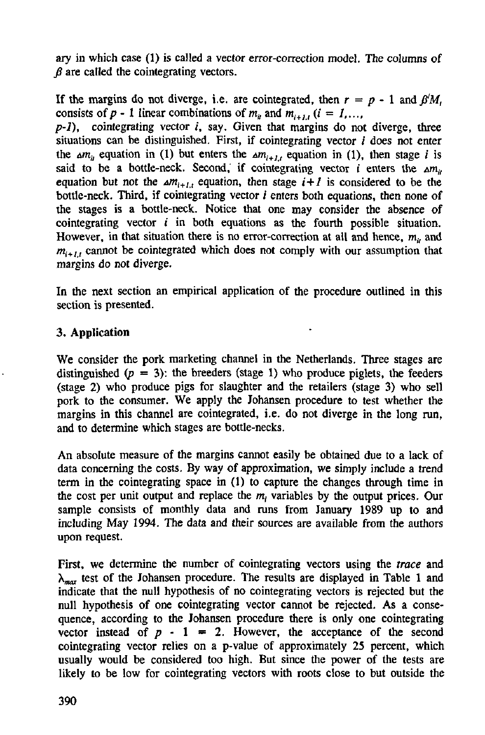ary in which case (1) is called a vector error-correction model. The columns of *<i>B* are called the cointegrating vectors.

If the margins do not diverge, i.e. are cointegrated, then  $r = p - 1$  and  $\beta' M$ , consists of  $p - 1$  linear combinations of  $m_i$  and  $m_{i+1}$ ,  $(i = 1, \ldots, n]$ 

*p-1*), cointegrating vector *i*, say. Given that margins do not diverge, three situations can be distinguished. First, if cointegrating vector *i* does not enter the  $\Delta m_{ij}$  equation in (1) but enters the  $\Delta m_{i+1,i}$  equation in (1), then stage *i* is said to be a bottle-neck. Second, if cointegrating vector *i* enters the  $\Delta m_{ij}$ equation but not the  $\Delta m_{i+1}$ , equation, then stage  $i+1$  is considered to be the bottle-neck. Third, if cointegrating vector  $i$  enters both equations, then none of the stages is a bottle-neck. Notice that one may consider the absence of cointegrating vector *i* in both equations as the fourth possible situation. However, in that situation there is no error-correction at all and hence, *mu* and  $m_{i+1}$  cannot be cointegrated which does not comply with our assumption that margins do not diverge.

In the next section an empirical application of the procedure outlined in this section is presented.

## **3. Application**

We consider the pork marketing channel in the Netherlands. Three stages are distinguished  $(p = 3)$ : the breeders (stage 1) who produce piglets, the feeders (stage 2) who produce pigs for slaughter and the retailers (stage 3) who sell pork to the consumer. We apply the Johansen procedure to test whether the margins in this channel are cointegrated, i.e. do not diverge in the long run, and to determine which stages are bottle-necks.

An absolute measure of the margins cannot easily be obtained due to a lack of data concerning the costs. By way of approximation, we simply include a trend term in the cointegrating space in (1) to capture the changes through time in the cost per unit output and replace the  $m_i$  variables by the output prices. sample consists of monthly data and runs from January 1989 up to and including May 1994. The data and their sources are available from the authors upon request.

First, we determine the number of cointegrating vectors using the *trace* and  $\lambda_{\text{max}}$  test of the Johansen procedure. The results are displayed in Table 1 and indicate that the null hypothesis of no cointegrating vectors is rejected but the null hypothesis of one cointegrating vector cannot be rejected. As a consequence, according to the Johansen procedure there is only one cointegrating vector instead of  $p - 1 = 2$ . However, the acceptance of the second cointegrating vector relies on a p-value of approximately 25 percent, which usually would be considered too high. But since the power of the tests are likely to be low for cointegrating vectors with roots close to but outside the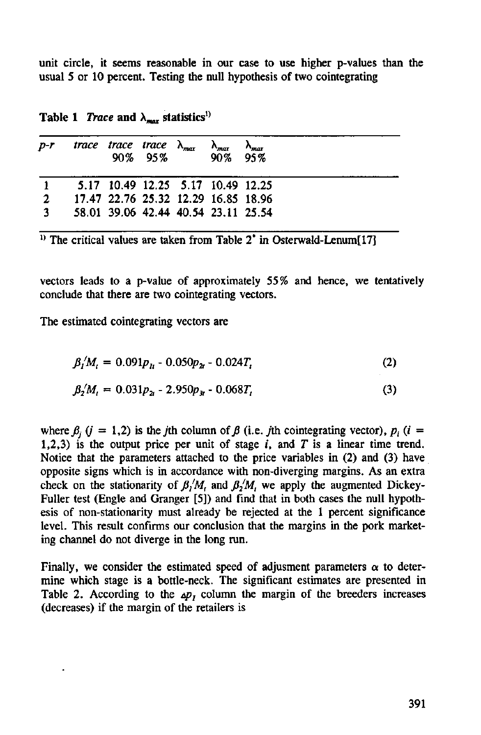unit circle, it seems reasonable in our case to use higher p-values than the usual 5 or 10 percent. Testing the null hypothesis of two cointegrating

| $D-T$        | trace trace trace $\lambda_{\text{max}}$ | 90\% 95\% 90\% 95\% | $\Lambda_{max}$ | $\sim$ max |  |
|--------------|------------------------------------------|---------------------|-----------------|------------|--|
|              | 5.17 10.49 12.25 5.17 10.49 12.25        |                     |                 |            |  |
| $\mathbf{2}$ | 17.47 22.76 25.32 12.29 16.85 18.96      |                     |                 |            |  |
| $\mathbf{a}$ | 58.01 39.06 42.44 40.54 23.11 25.54      |                     |                 |            |  |

**Table 1** *Trace* and  $\lambda_{\text{max}}$  statistics<sup>1)</sup>

<sup>1)</sup> The critical values are taken from Table  $2^*$  in Osterwald-Lenu

vectors leads to a p-value of approximately 55% and hence, we tentatively conclude that there are two cointegrating vectors.

The estimated cointegrating vectors are

$$
\beta'_l M_l = 0.091 p_{l1} - 0.050 p_{2l} - 0.024 T_l \tag{2}
$$

$$
\beta_2'M_t = 0.031p_{2t} - 2.950p_{3t} - 0.068T_t \tag{3}
$$

where  $\beta_i$  (j = 1,2) is the jth column of  $\beta$  (i.e. jth cointegrating vector),  $p_i$  (i = 1,2,3) is the output price per unit of stage  $i$ , and  $T$  is a linear time trend. Notice that the parameters attached to the price variables in (2) and (3) have opposite signs which is in accordance with non-diverging margins. As an extra check on the stationarity of  $\beta_1/M$ , and  $\beta_2/M$ , we apply the augmented Dickey-Fuller test (Engle and Granger [5]) and find that in both cases the null hypothesis of non-stationarity must already be rejected at the 1 percent significance level. This result confirms our conclusion that the margins in the pork marketing channel do not diverge in the long run.

Finally, we consider the estimated speed of adjusment parameters  $\alpha$  to determine which stage is a bottle-neck. The significant estimates are presented in Table 2. According to the  $\Delta p$ , column the margin of the breeders increases (decreases) if the margin of the retailers is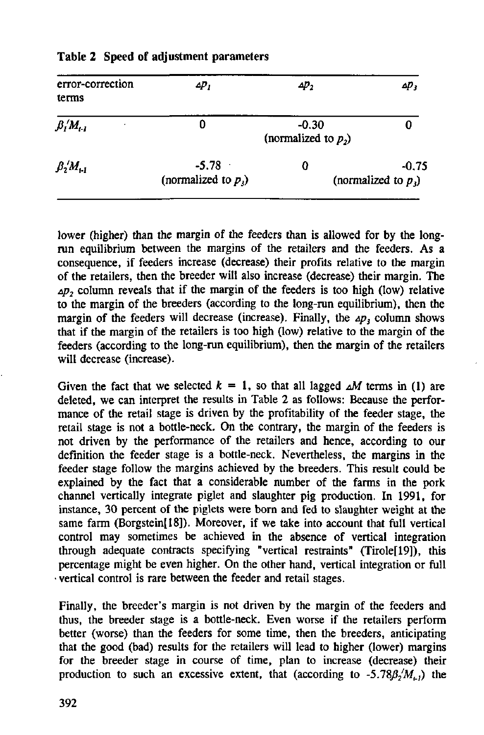| error-correction<br>terms                       | ∠р,                               | ΔD,                               | ΔР3                               |
|-------------------------------------------------|-----------------------------------|-----------------------------------|-----------------------------------|
| $\beta_{I}{}^{\prime}M_{t-I}$<br>٠              | 0                                 | $-0.30$<br>(normalized to $p_2$ ) |                                   |
| $\beta_{2}^{\;\prime}M_{11}^{\phantom{\prime}}$ | $-5.78$<br>(normalized to $p_i$ ) | 0                                 | $-0.75$<br>(normalized to $p_i$ ) |

#### **Table 2 Speed of adjustment parameters**

lower (higher) than the margin of the feeders than is allowed for by the longrun equilibrium between the margins of the retailers and the feeders. As a consequence, if feeders increase (decrease) their profits relative to the margin of the retailers, then the breeder will also increase (decrease) their margin. The  $\Delta p_2$  column reveals that if the margin of the feeders is too high (low) relative to the margin of the breeders (according to the long-run equilibrium), then the margin of the feeders will decrease (increase). Finally, the  $\Delta p$ , column shows that if the margin of the retailers is too high (low) relative to the margin of the feeders (according to the long-run equilibrium), then the margin of the retailers will decrease (increase).

Given the fact that we selected  $k = 1$ , so that all lagged  $\Delta M$  terms in (1) are deleted, we can interpret the results in Table 2 as follows: Because the performance of the retail stage is driven by the profitability of the feeder stage, the retail stage is not a bottle-neck. On the contrary, the margin of the feeders is not driven by the performance of the retailers and hence, according to our definition the feeder stage is a bottle-neck. Nevertheless, the margins in the feeder stage follow the margins achieved by the breeders. This result could be explained by the fact that a considerable number of the farms in the pork channel vertically integrate piglet and slaughter pig production. In 1991, for instance, 30 percent of the piglets were bora and fed to slaughter weight at the same farm (Borgstein[18]). Moreover, if we take into account that full vertical control may sometimes be achieved in the absence of vertical integration through adequate contracts specifying "vertical restraints" (Tirole[19]), this percentage might be even higher. On the other hand, vertical integration or full vertical control is rare between the feeder and retail stages.

Finally, the breeder's margin is not driven by the margin of the feeders and thus, the breeder stage is a bottle-neck. Even worse if the retailers perform better (worse) than the feeders for some time, then the breeders, anticipating that the good (bad) results for the retailers will lead to higher (lower) margins for the breeder stage in course of time, plan to increase (decrease) their production to such an excessive extent, that (according to  $-5.78\beta_2/M_{c}$ ) the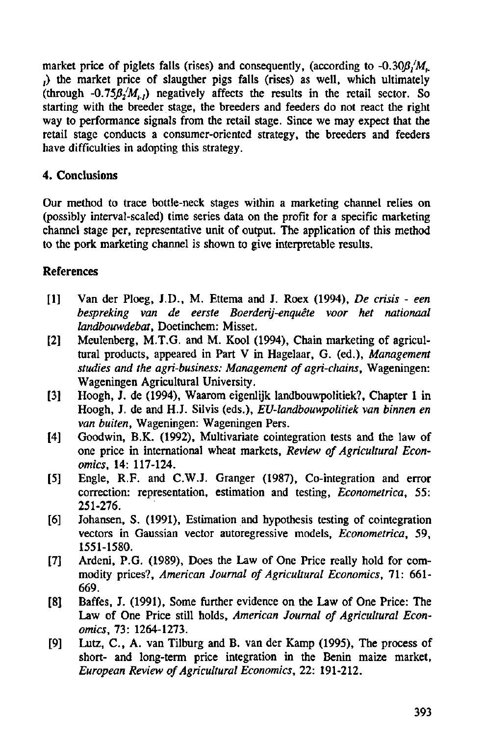market price of piglets falls (rises) and consequently, (according to  $-0.30\beta/M_{\odot}$ ;) the market price of slaugther pigs falls (rises) as well, which ultimately (through  $-0.75\beta_2/M_{1}$ ) negatively affects the results in the retail sector. So starting with the breeder stage, the breeders and feeders do not react the right way to performance signals from the retail stage. Since we may expect that the retail stage conducts a consumer-oriented strategy, the breeders and feeders have difficulties in adopting this strategy.

## **4. Conclusions**

Our method to trace bottle-neck stages within a marketing channel relies on (possibly interval-scaled) time series data on the profit for a specific marketing channel stage per, representative unit of output. The application of this method to the pork marketing channel is shown to give interprétable results.

# **References**

- [1] Van der Ploeg, J.D., M. Ettema and J. Roex (1994), *De crisis een bespreking van de eerste Boerderij-enquête voor het nationaal landbouwdebat,* Doetinchem: Misset.
- [2] Meulenberg, M.T.G. and M. Kool (1994), Chain marketing of agricultural products, appeared in Part V in Hagelaar, G. (ed.), *Management studies and the agri-business: Management of agri-chains,* Wageningen: Wageningen Agricultural University.
- [3] Hoogh, J. de (1994), Waarom eigenlijk landbouwpolitiek?, Chapter 1 in Hoogh, J. de and H.J. Silvis (eds.), *EU-landbouwpolitiek van binnen en van buiten,* Wageningen: Wageningen Pers.
- [4] Goodwin, B.K. (1992), Multivariate cointegration tests and the law of one price in international wheat markets, *Review of Agricultural Economics,* 14: 117-124.
- [5] Engle, R.F. and C.W.J. Granger (1987), Co-integration and error correction: representation, estimation and testing, *Econometrica,* 55: 251-276.
- [6] Johansen, S. (1991), Estimation and hypothesis testing of cointegration vectors in Gaussian vector autoregressive models, *Econometrica,* 59, 1551-1580.
- [7] Ardeni, P.G. (1989), Does the Law of One Price really hold for commodity prices?, *American Journal of Agricultural Economics,* 71: 661- 669.
- [8] Baffes, J. (1991), Some further evidence on the Law of One Price: The Law of One Price still holds, *American Journal of Agricultural Economics,* 73: 1264-1273.
- [9] Lutz, C., A. van Tilburg and B. van der Kamp (1995), The process of short- and long-term price integration in the Benin maize market, *European Review of Agricultural Economics,* 22: 191-212.